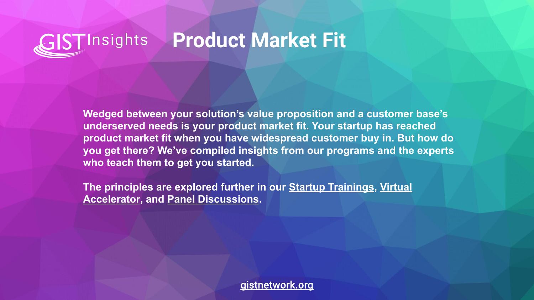## **GIST**Insights **Product Market Fit**

**Wedged between your solution's value proposition and a customer base's underserved needs is your product market fit. Your startup has reached product market fit when you have widespread customer buy in. But how do you get there? We've compiled insights from our programs and the experts who teach them to get you started.**

**The principles are explored further in our [Startup Trainings,](https://www.gistnetwork.org/gist-startup-trainings) [Virtual](https://www.gistnetwork.org/va) [Accelerator](https://www.gistnetwork.org/va), and [Panel Discussions](https://www.gistnetwork.org/gist-techconnect).** 

gistnetwork.org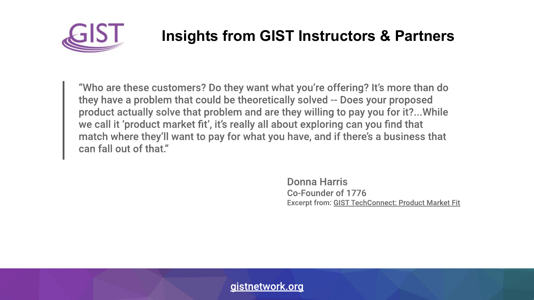

## **Insights from GIST Instructors & Partners**

"Who are these customers? Do they want what you're offering? It's more than do they have a problem that could be theoretically solved -- Does your proposed product actually solve that problem and are they willing to pay you for it?...While we call it 'product market fit', it's really all about exploring can you find that match where they'll want to pay for what you have, and if there's a business that can fall out of that."

> Donna Harris Co-Founder of 1776 **Excerpt from: GIST TechConnect: Product Market Fit**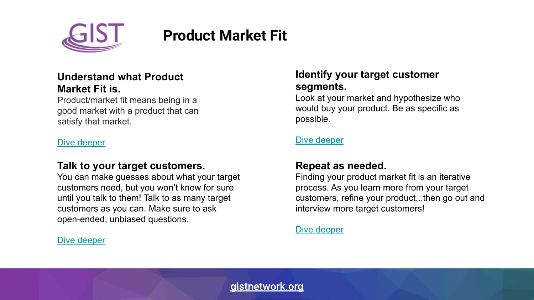

# **Product Market Fit**

#### **Understand what Product Market Fit is.**

Product/market fit means being in a good market with a product that can satisfy that market.

#### [Dive deeper](https://medium.com/evergreen-business-weekly/product-market-fit-what-it-really-means-how-to-measure-it-and-where-to-find-it-70e746be907b)

#### **Talk to your target customers.**

You can make guesses about what your target customers need, but you won't know for sure until you talk to them! Talk to as many target customers as you can. Make sure to ask open-ended, unbiased questions.

#### [Dive deeper](https://venturewell.org/customer-interviews/)

#### **Identify your target customer segments.**

Look at your market and hypothesize who would buy your product. Be as specific as possible.

#### [Dive deeper](https://medium.com/swlh/how-to-find-a-target-market-for-startups-5a885fb374ba)

### **Repeat as needed.**

Finding your product market fit is an iterative process. As you learn more from your target customers, refine your product...then go out and interview more target customers!

[Dive deeper](https://kromatic.com/blog/how-do-i-know-when-im-done-with-customer-discovery/)